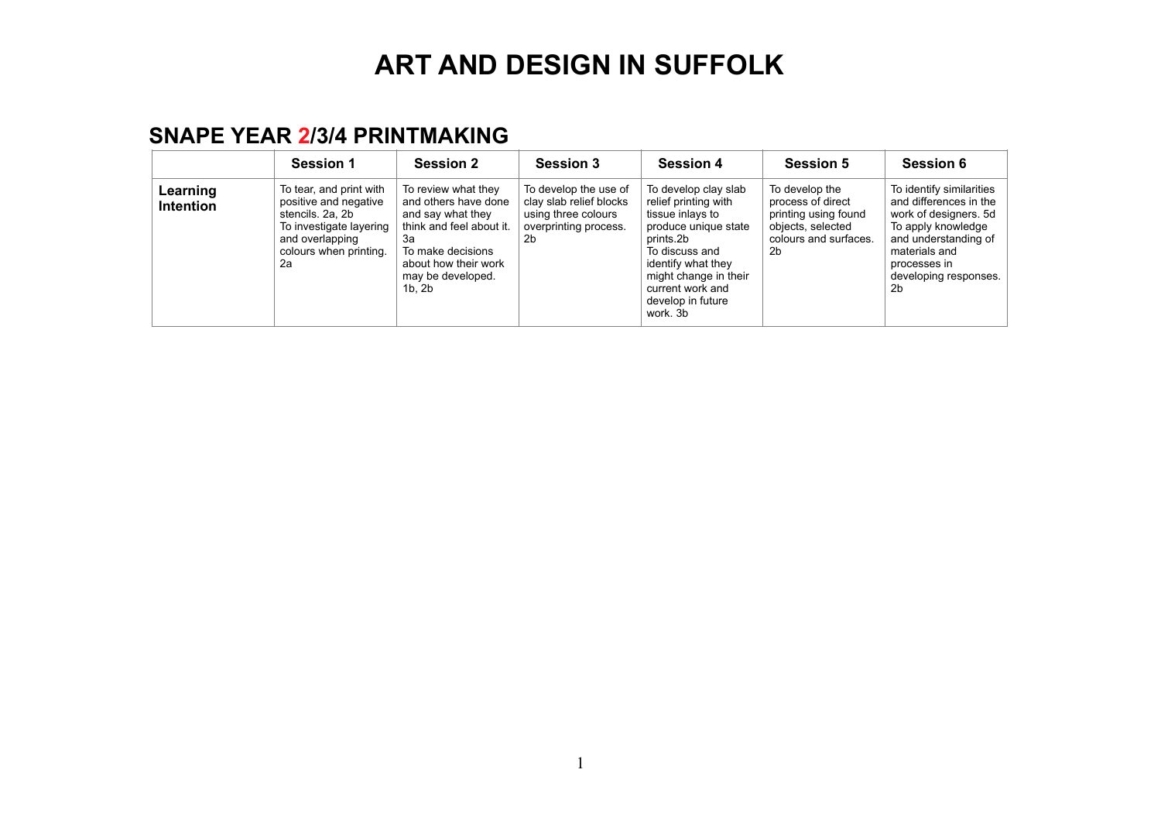#### **SNAPE YEAR 2/3/4 PRINTMAKING**

|                              | Session 1                                                                                                                                          | <b>Session 2</b>                                                                                                                                                                    | <b>Session 3</b>                                                                                       | <b>Session 4</b>                                                                                                                                                                                                            | <b>Session 5</b>                                                                                                | Session 6                                                                                                                                                                                 |
|------------------------------|----------------------------------------------------------------------------------------------------------------------------------------------------|-------------------------------------------------------------------------------------------------------------------------------------------------------------------------------------|--------------------------------------------------------------------------------------------------------|-----------------------------------------------------------------------------------------------------------------------------------------------------------------------------------------------------------------------------|-----------------------------------------------------------------------------------------------------------------|-------------------------------------------------------------------------------------------------------------------------------------------------------------------------------------------|
| Learning<br><b>Intention</b> | To tear, and print with<br>positive and negative<br>stencils. 2a, 2b<br>To investigate layering<br>and overlapping<br>colours when printing.<br>2a | To review what they<br>and others have done<br>and say what they<br>think and feel about it.<br>За<br>To make decisions<br>about how their work<br>may be developed.<br>$1b$ . $2b$ | To develop the use of<br>clay slab relief blocks<br>using three colours<br>overprinting process.<br>2b | To develop clay slab<br>relief printing with<br>tissue inlays to<br>produce unique state<br>prints.2b<br>To discuss and<br>identify what they<br>might change in their<br>current work and<br>develop in future<br>work, 3b | To develop the<br>process of direct<br>printing using found<br>objects, selected<br>colours and surfaces.<br>2b | To identify similarities<br>and differences in the<br>work of designers. 5d<br>To apply knowledge<br>and understanding of<br>materials and<br>processes in<br>developing responses.<br>2b |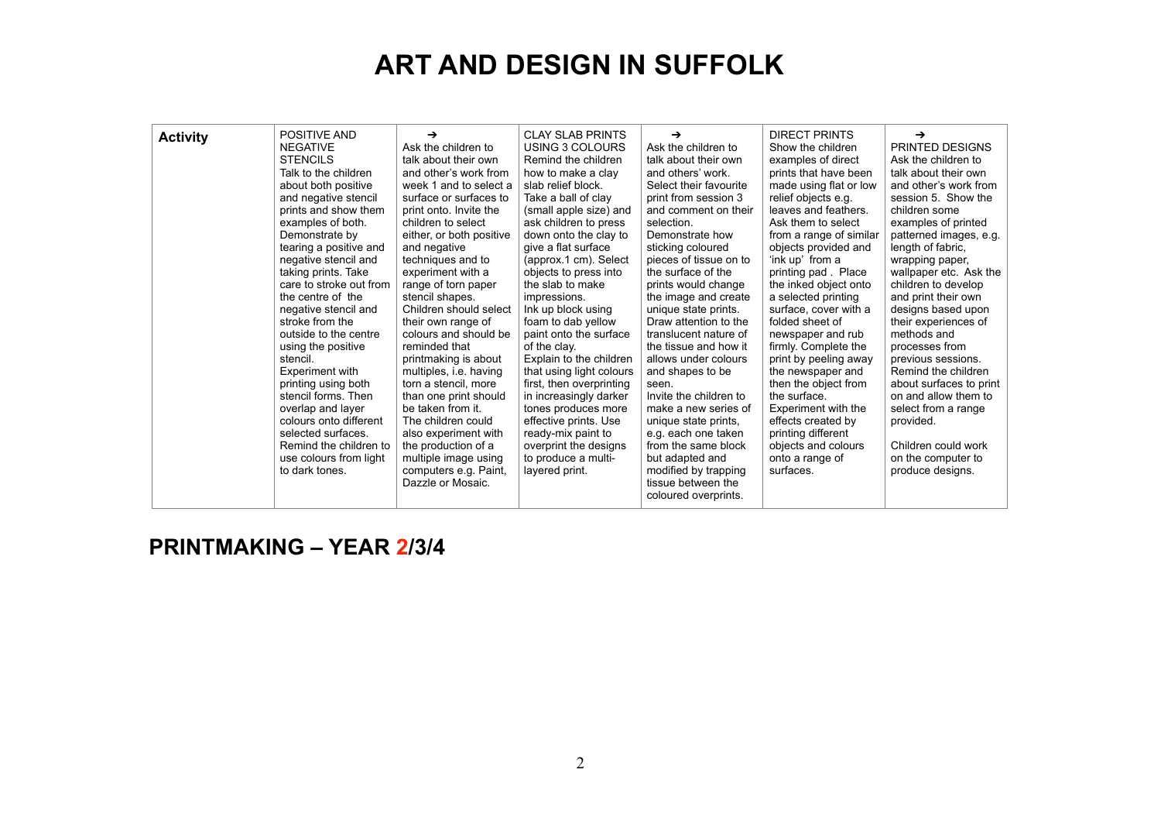| <b>Activity</b> | POSITIVE AND<br><b>NEGATIVE</b><br><b>STENCILS</b><br>Talk to the children<br>about both positive<br>and negative stencil<br>prints and show them<br>examples of both.<br>Demonstrate by<br>tearing a positive and<br>negative stencil and<br>taking prints. Take<br>care to stroke out from<br>the centre of the<br>negative stencil and<br>stroke from the<br>outside to the centre<br>using the positive<br>stencil.<br>Experiment with<br>printing using both<br>stencil forms. Then<br>overlap and layer<br>colours onto different<br>selected surfaces.<br>Remind the children to<br>use colours from light<br>to dark tones. | →<br>Ask the children to<br>talk about their own<br>and other's work from<br>week 1 and to select a<br>surface or surfaces to<br>print onto. Invite the<br>children to select<br>either, or both positive<br>and negative<br>techniques and to<br>experiment with a<br>range of torn paper<br>stencil shapes.<br>Children should select<br>their own range of<br>colours and should be<br>reminded that<br>printmaking is about<br>multiples, i.e. having<br>torn a stencil, more<br>than one print should<br>be taken from it.<br>The children could<br>also experiment with<br>the production of a<br>multiple image using<br>computers e.g. Paint,<br>Dazzle or Mosaic. | <b>CLAY SLAB PRINTS</b><br>USING 3 COLOURS<br>Remind the children<br>how to make a clay<br>slab relief block.<br>Take a ball of clay<br>(small apple size) and<br>ask children to press<br>down onto the clay to<br>give a flat surface<br>(approx.1 cm). Select<br>objects to press into<br>the slab to make<br>impressions.<br>Ink up block using<br>foam to dab yellow<br>paint onto the surface<br>of the clay.<br>Explain to the children<br>that using light colours<br>first, then overprinting<br>in increasingly darker<br>tones produces more<br>effective prints. Use<br>ready-mix paint to<br>overprint the designs<br>to produce a multi-<br>layered print. | →<br>Ask the children to<br>talk about their own<br>and others' work.<br>Select their favourite<br>print from session 3<br>and comment on their<br>selection.<br>Demonstrate how<br>sticking coloured<br>pieces of tissue on to<br>the surface of the<br>prints would change<br>the image and create<br>unique state prints.<br>Draw attention to the<br>translucent nature of<br>the tissue and how it<br>allows under colours<br>and shapes to be<br>seen.<br>Invite the children to<br>make a new series of<br>unique state prints,<br>e.g. each one taken<br>from the same block<br>but adapted and<br>modified by trapping<br>tissue between the<br>coloured overprints. | <b>DIRECT PRINTS</b><br>Show the children<br>examples of direct<br>prints that have been<br>made using flat or low<br>relief objects e.g.<br>leaves and feathers.<br>Ask them to select<br>from a range of similar<br>objects provided and<br>'ink up' from a<br>printing pad. Place<br>the inked object onto<br>a selected printing<br>surface, cover with a<br>folded sheet of<br>newspaper and rub<br>firmly. Complete the<br>print by peeling away<br>the newspaper and<br>then the object from<br>the surface.<br>Experiment with the<br>effects created by<br>printing different<br>objects and colours<br>onto a range of<br>surfaces. | $\rightarrow$<br>PRINTED DESIGNS<br>Ask the children to<br>talk about their own<br>and other's work from<br>session 5. Show the<br>children some<br>examples of printed<br>patterned images, e.g.<br>length of fabric.<br>wrapping paper,<br>wallpaper etc. Ask the<br>children to develop<br>and print their own<br>designs based upon<br>their experiences of<br>methods and<br>processes from<br>previous sessions.<br>Remind the children<br>about surfaces to print<br>on and allow them to<br>select from a range<br>provided.<br>Children could work<br>on the computer to<br>produce designs. |
|-----------------|-------------------------------------------------------------------------------------------------------------------------------------------------------------------------------------------------------------------------------------------------------------------------------------------------------------------------------------------------------------------------------------------------------------------------------------------------------------------------------------------------------------------------------------------------------------------------------------------------------------------------------------|----------------------------------------------------------------------------------------------------------------------------------------------------------------------------------------------------------------------------------------------------------------------------------------------------------------------------------------------------------------------------------------------------------------------------------------------------------------------------------------------------------------------------------------------------------------------------------------------------------------------------------------------------------------------------|--------------------------------------------------------------------------------------------------------------------------------------------------------------------------------------------------------------------------------------------------------------------------------------------------------------------------------------------------------------------------------------------------------------------------------------------------------------------------------------------------------------------------------------------------------------------------------------------------------------------------------------------------------------------------|-------------------------------------------------------------------------------------------------------------------------------------------------------------------------------------------------------------------------------------------------------------------------------------------------------------------------------------------------------------------------------------------------------------------------------------------------------------------------------------------------------------------------------------------------------------------------------------------------------------------------------------------------------------------------------|-----------------------------------------------------------------------------------------------------------------------------------------------------------------------------------------------------------------------------------------------------------------------------------------------------------------------------------------------------------------------------------------------------------------------------------------------------------------------------------------------------------------------------------------------------------------------------------------------------------------------------------------------|-------------------------------------------------------------------------------------------------------------------------------------------------------------------------------------------------------------------------------------------------------------------------------------------------------------------------------------------------------------------------------------------------------------------------------------------------------------------------------------------------------------------------------------------------------------------------------------------------------|

**PRINTMAKING – YEAR 2/3/4**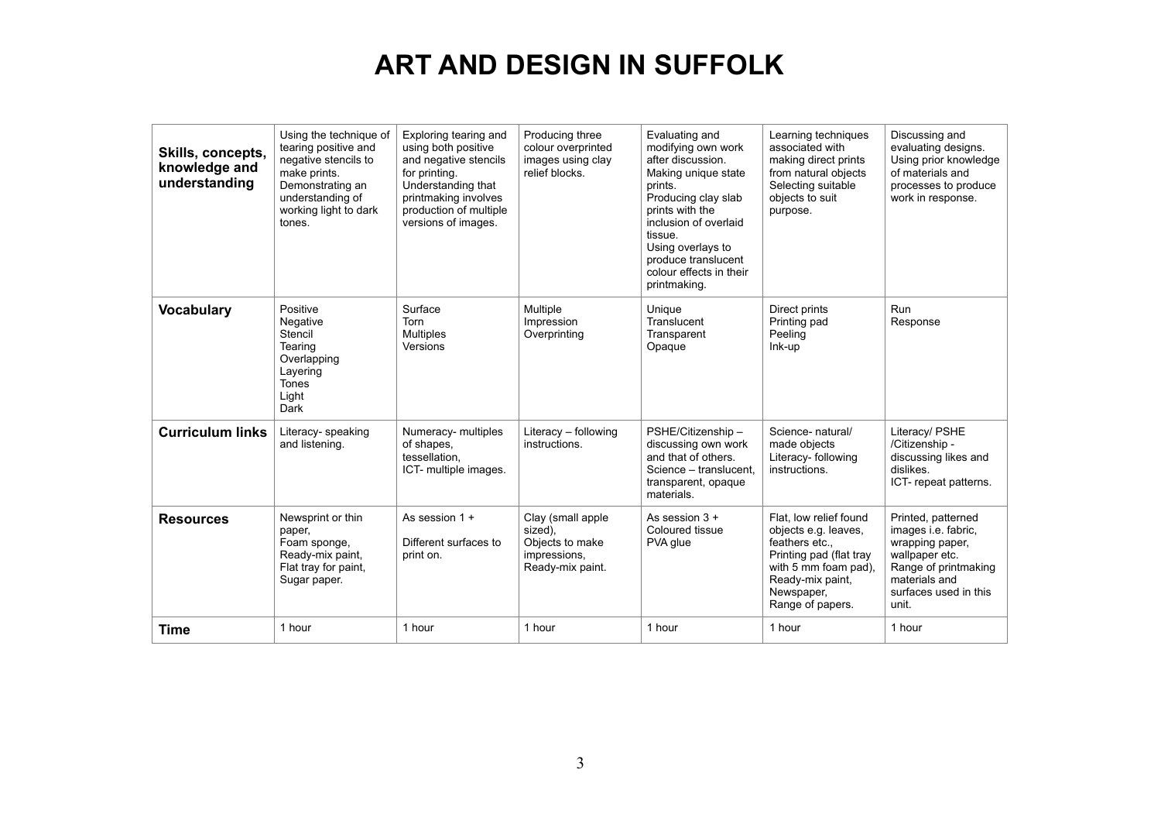| Skills, concepts,<br>knowledge and<br>understanding | Using the technique of<br>tearing positive and<br>negative stencils to<br>make prints.<br>Demonstrating an<br>understanding of<br>working light to dark<br>tones. | Exploring tearing and<br>using both positive<br>and negative stencils<br>for printing.<br>Understanding that<br>printmaking involves<br>production of multiple<br>versions of images. | Producing three<br>colour overprinted<br>images using clay<br>relief blocks.        | Evaluating and<br>modifying own work<br>after discussion.<br>Making unique state<br>prints.<br>Producing clay slab<br>prints with the<br>inclusion of overlaid<br>tissue.<br>Using overlays to<br>produce translucent<br>colour effects in their<br>printmaking. | Learning techniques<br>associated with<br>making direct prints<br>from natural objects<br>Selecting suitable<br>objects to suit<br>purpose.                               | Discussing and<br>evaluating designs.<br>Using prior knowledge<br>of materials and<br>processes to produce<br>work in response.                           |
|-----------------------------------------------------|-------------------------------------------------------------------------------------------------------------------------------------------------------------------|---------------------------------------------------------------------------------------------------------------------------------------------------------------------------------------|-------------------------------------------------------------------------------------|------------------------------------------------------------------------------------------------------------------------------------------------------------------------------------------------------------------------------------------------------------------|---------------------------------------------------------------------------------------------------------------------------------------------------------------------------|-----------------------------------------------------------------------------------------------------------------------------------------------------------|
| <b>Vocabulary</b>                                   | Positive<br>Negative<br>Stencil<br>Tearing<br>Overlapping<br>Layering<br><b>Tones</b><br>Light<br>Dark                                                            | Surface<br>Torn<br><b>Multiples</b><br>Versions                                                                                                                                       | Multiple<br>Impression<br>Overprinting                                              | Unique<br>Translucent<br>Transparent<br>Opaque                                                                                                                                                                                                                   | Direct prints<br>Printing pad<br>Peeling<br>Ink-up                                                                                                                        | <b>Run</b><br>Response                                                                                                                                    |
| <b>Curriculum links</b>                             | Literacy- speaking<br>and listening.                                                                                                                              | Numeracy- multiples<br>of shapes.<br>tessellation,<br>ICT- multiple images.                                                                                                           | Literacy - following<br>instructions.                                               | PSHE/Citizenship -<br>discussing own work<br>and that of others.<br>Science - translucent.<br>transparent, opaque<br>materials.                                                                                                                                  | Science- natural/<br>made objects<br>Literacy- following<br>instructions.                                                                                                 | Literacy/ PSHE<br>/Citizenship -<br>discussing likes and<br>dislikes.<br>ICT-repeat patterns.                                                             |
| <b>Resources</b>                                    | Newsprint or thin<br>paper,<br>Foam sponge,<br>Ready-mix paint,<br>Flat tray for paint,<br>Sugar paper.                                                           | As session $1 +$<br>Different surfaces to<br>print on.                                                                                                                                | Clay (small apple<br>sized),<br>Objects to make<br>impressions,<br>Ready-mix paint. | As session $3 +$<br>Coloured tissue<br>PVA glue                                                                                                                                                                                                                  | Flat. low relief found<br>objects e.g. leaves,<br>feathers etc.,<br>Printing pad (flat tray<br>with 5 mm foam pad),<br>Ready-mix paint,<br>Newspaper,<br>Range of papers. | Printed, patterned<br>images i.e. fabric.<br>wrapping paper,<br>wallpaper etc.<br>Range of printmaking<br>materials and<br>surfaces used in this<br>unit. |
| <b>Time</b>                                         | 1 hour                                                                                                                                                            | 1 hour                                                                                                                                                                                | 1 hour                                                                              | 1 hour                                                                                                                                                                                                                                                           | 1 hour                                                                                                                                                                    | 1 hour                                                                                                                                                    |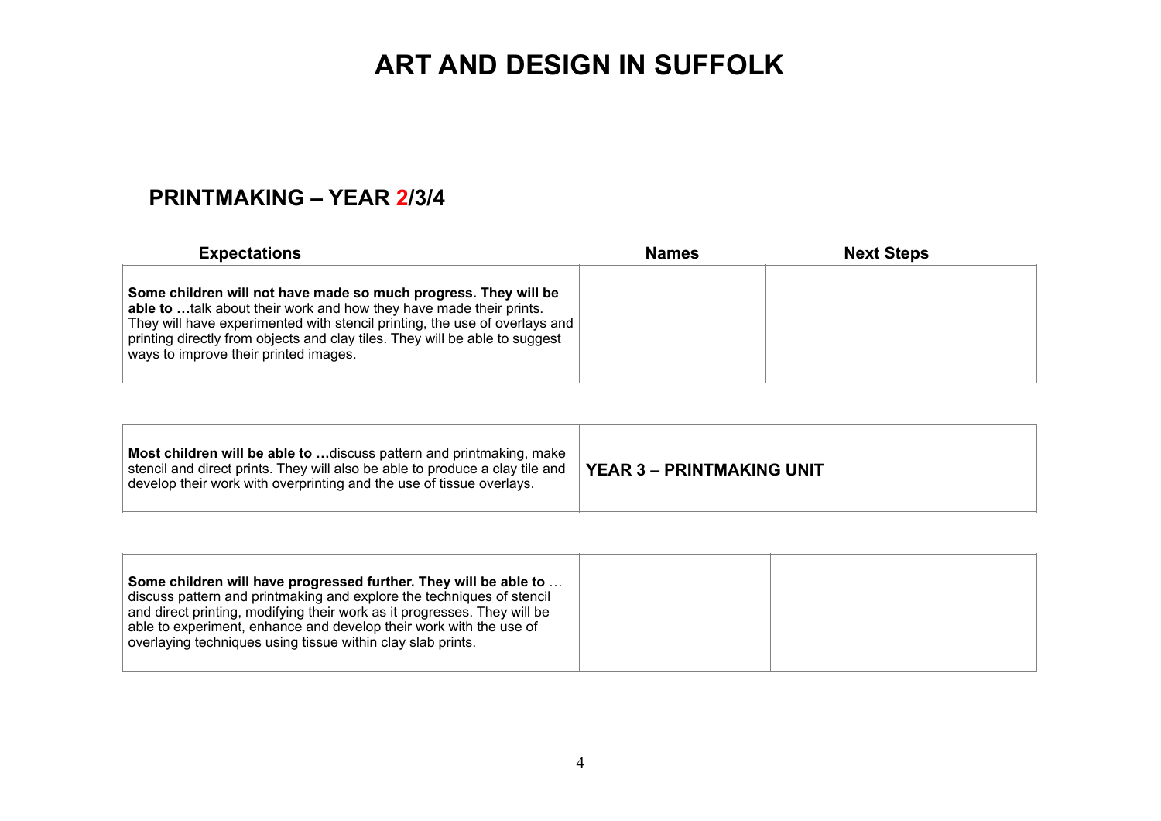#### **PRINTMAKING – YEAR 2/3/4**

| <b>Expectations</b>                                                                                                                                                                                                                                                                                                                         | <b>Names</b> | <b>Next Steps</b> |  |
|---------------------------------------------------------------------------------------------------------------------------------------------------------------------------------------------------------------------------------------------------------------------------------------------------------------------------------------------|--------------|-------------------|--|
| Some children will not have made so much progress. They will be<br>able to talk about their work and how they have made their prints.<br>They will have experimented with stencil printing, the use of overlays and<br>printing directly from objects and clay tiles. They will be able to suggest<br>ways to improve their printed images. |              |                   |  |

| Most children will be able to  discuss pattern and printmaking, make<br>stencil and direct prints. They will also be able to produce a clay tile and<br>develop their work with overprinting and the use of tissue overlays. | <b>YEAR 3 - PRINTMAKING UNIT</b> |
|------------------------------------------------------------------------------------------------------------------------------------------------------------------------------------------------------------------------------|----------------------------------|
|------------------------------------------------------------------------------------------------------------------------------------------------------------------------------------------------------------------------------|----------------------------------|

| discuss pattern and printmaking and explore the techniques of stencil<br>and direct printing, modifying their work as it progresses. They will be<br>able to experiment, enhance and develop their work with the use of<br>overlaying techniques using tissue within clay slab prints. |
|----------------------------------------------------------------------------------------------------------------------------------------------------------------------------------------------------------------------------------------------------------------------------------------|
|----------------------------------------------------------------------------------------------------------------------------------------------------------------------------------------------------------------------------------------------------------------------------------------|